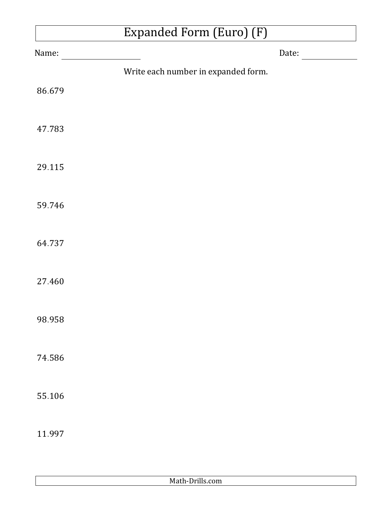## Expanded Form (Euro) (F)

| Name:  |                                     | Date: |
|--------|-------------------------------------|-------|
|        | Write each number in expanded form. |       |
| 86.679 |                                     |       |
| 47.783 |                                     |       |
| 29.115 |                                     |       |
| 59.746 |                                     |       |
| 64.737 |                                     |       |
| 27.460 |                                     |       |
| 98.958 |                                     |       |
| 74.586 |                                     |       |
| 55.106 |                                     |       |
| 11.997 |                                     |       |